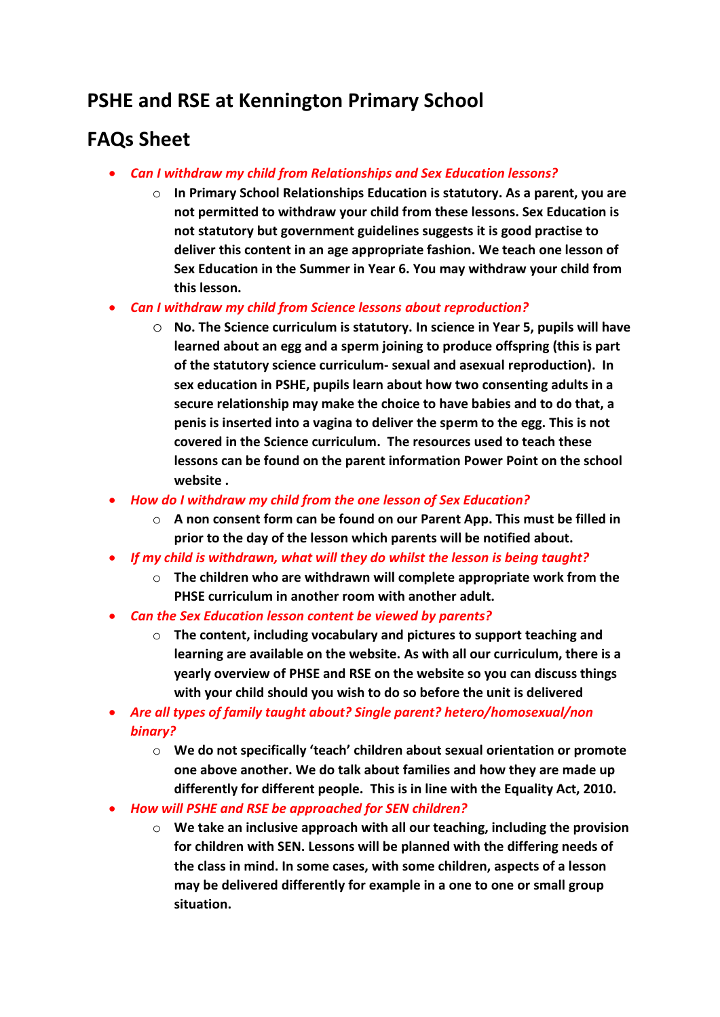## **PSHE and RSE at Kennington Primary School**

## **FAQs Sheet**

- *Can I withdraw my child from Relationships and Sex Education lessons?*
	- o **In Primary School Relationships Education is statutory. As a parent, you are not permitted to withdraw your child from these lessons. Sex Education is not statutory but government guidelines suggests it is good practise to deliver this content in an age appropriate fashion. We teach one lesson of Sex Education in the Summer in Year 6. You may withdraw your child from this lesson.**
- *Can I withdraw my child from Science lessons about reproduction?*
	- o **No. The Science curriculum is statutory. In science in Year 5, pupils will have learned about an egg and a sperm joining to produce offspring (this is part of the statutory science curriculum- sexual and asexual reproduction). In sex education in PSHE, pupils learn about how two consenting adults in a secure relationship may make the choice to have babies and to do that, a penis is inserted into a vagina to deliver the sperm to the egg. This is not covered in the Science curriculum. The resources used to teach these lessons can be found on the parent information Power Point on the school website .**
- *How do I withdraw my child from the one lesson of Sex Education?*
	- o **A non consent form can be found on our Parent App. This must be filled in prior to the day of the lesson which parents will be notified about.**
- *If my child is withdrawn, what will they do whilst the lesson is being taught?*
	- o **The children who are withdrawn will complete appropriate work from the PHSE curriculum in another room with another adult.**
- *Can the Sex Education lesson content be viewed by parents?*
	- o **The content, including vocabulary and pictures to support teaching and learning are available on the website. As with all our curriculum, there is a yearly overview of PHSE and RSE on the website so you can discuss things with your child should you wish to do so before the unit is delivered**
- *Are all types of family taught about? Single parent? hetero/homosexual/non binary?*
	- o **We do not specifically 'teach' children about sexual orientation or promote one above another. We do talk about families and how they are made up differently for different people. This is in line with the Equality Act, 2010.**
- *How will PSHE and RSE be approached for SEN children?*
	- o **We take an inclusive approach with all our teaching, including the provision for children with SEN. Lessons will be planned with the differing needs of the class in mind. In some cases, with some children, aspects of a lesson may be delivered differently for example in a one to one or small group situation.**